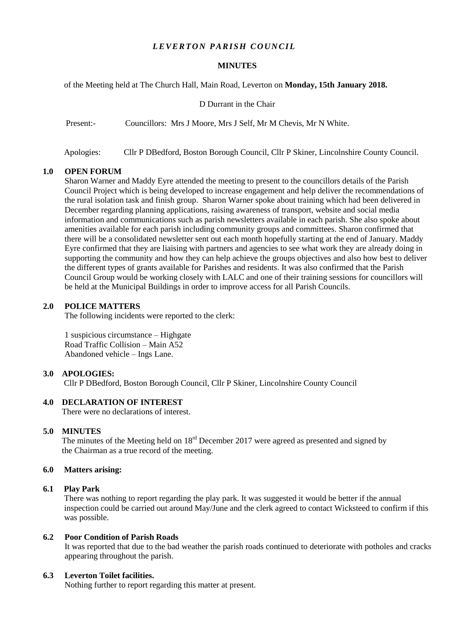# *LEVERTON PARISH COUNCIL*

#### **MINUTES**

of the Meeting held at The Church Hall, Main Road, Leverton on **Monday, 15th January 2018.**

D Durrant in the Chair

Present:- Councillors: Mrs J Moore, Mrs J Self, Mr M Chevis, Mr N White.

Apologies: Cllr P DBedford, Boston Borough Council, Cllr P Skiner, Lincolnshire County Council.

#### **1.0 OPEN FORUM**

Sharon Warner and Maddy Eyre attended the meeting to present to the councillors details of the Parish Council Project which is being developed to increase engagement and help deliver the recommendations of the rural isolation task and finish group. Sharon Warner spoke about training which had been delivered in December regarding planning applications, raising awareness of transport, website and social media information and communications such as parish newsletters available in each parish. She also spoke about amenities available for each parish including community groups and committees. Sharon confirmed that there will be a consolidated newsletter sent out each month hopefully starting at the end of January. Maddy Eyre confirmed that they are liaising with partners and agencies to see what work they are already doing in supporting the community and how they can help achieve the groups objectives and also how best to deliver the different types of grants available for Parishes and residents**.** It was also confirmed that the Parish Council Group would be working closely with LALC and one of their training sessions for councillors will be held at the Municipal Buildings in order to improve access for all Parish Councils.

## **2.0 POLICE MATTERS**

The following incidents were reported to the clerk:

1 suspicious circumstance – Highgate Road Traffic Collision – Main A52 Abandoned vehicle – Ings Lane.

#### **3.0 APOLOGIES:**

Cllr P DBedford, Boston Borough Council, Cllr P Skiner, Lincolnshire County Council

# **4.0 DECLARATION OF INTEREST**

There were no declarations of interest.

#### **5.0 MINUTES**

The minutes of the Meeting held on  $18<sup>rd</sup>$  December 2017 were agreed as presented and signed by the Chairman as a true record of the meeting.

## **6.0 Matters arising:**

#### **6.1 Play Park**

There was nothing to report regarding the play park. It was suggested it would be better if the annual inspection could be carried out around May/June and the clerk agreed to contact Wicksteed to confirm if this was possible.

### **6.2 Poor Condition of Parish Roads**

It was reported that due to the bad weather the parish roads continued to deteriorate with potholes and cracks appearing throughout the parish.

## **6.3 Leverton Toilet facilities.**

Nothing further to report regarding this matter at present.